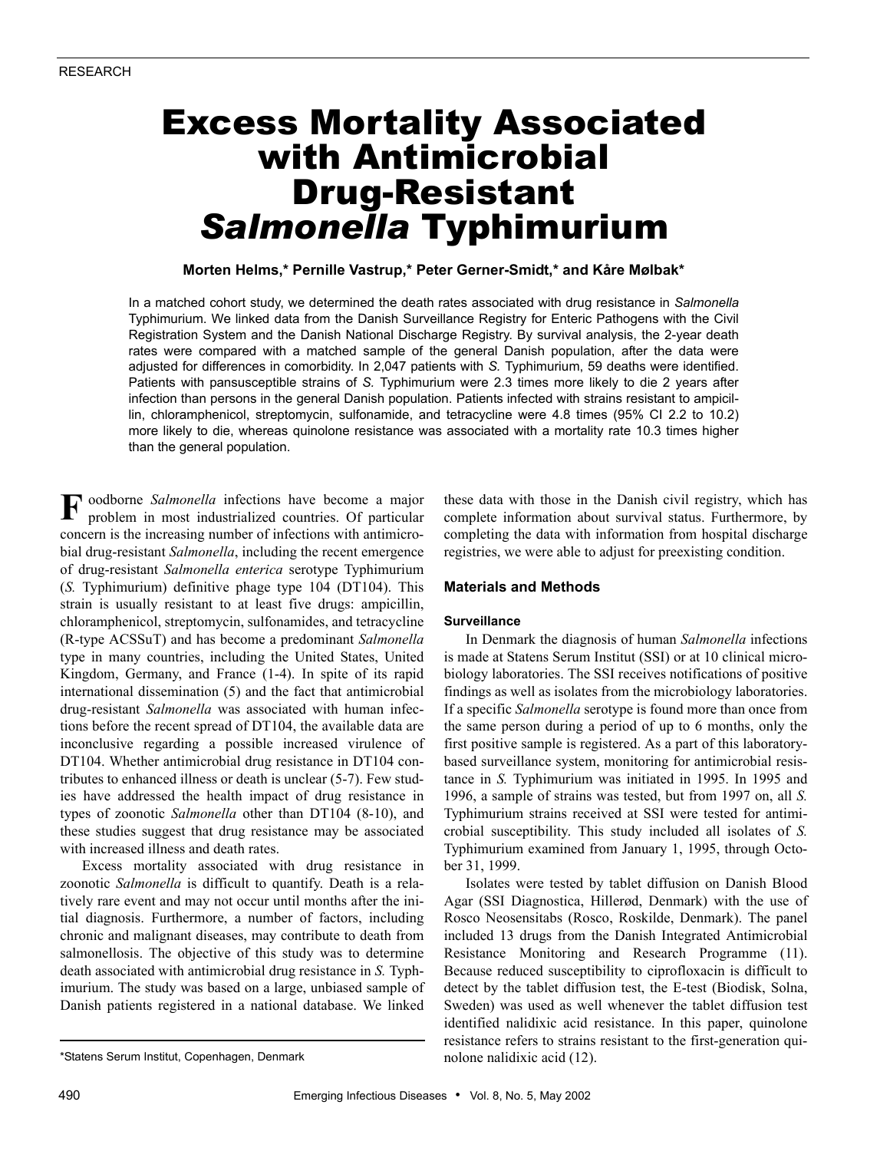# Excess Mortality Associated with Antimicrobial Drug-Resistant *Salmonella* Typhimurium

## **Morten Helms,\* Pernille Vastrup,\* Peter Gerner-Smidt,\* and Kåre Mølbak\***

In a matched cohort study, we determined the death rates associated with drug resistance in *Salmonella* Typhimurium. We linked data from the Danish Surveillance Registry for Enteric Pathogens with the Civil Registration System and the Danish National Discharge Registry. By survival analysis, the 2-year death rates were compared with a matched sample of the general Danish population, after the data were adjusted for differences in comorbidity. In 2,047 patients with *S.* Typhimurium, 59 deaths were identified. Patients with pansusceptible strains of *S.* Typhimurium were 2.3 times more likely to die 2 years after infection than persons in the general Danish population. Patients infected with strains resistant to ampicillin, chloramphenicol, streptomycin, sulfonamide, and tetracycline were 4.8 times (95% CI 2.2 to 10.2) more likely to die, whereas quinolone resistance was associated with a mortality rate 10.3 times higher than the general population.

oodborne *Salmonella* infections have become a major **F**problem in most industrialized countries. Of particular concern is the increasing number of infections with antimicrobial drug-resistant *Salmonella*, including the recent emergence of drug-resistant *Salmonella enterica* serotype Typhimurium (*S.* Typhimurium) definitive phage type 104 (DT104). This strain is usually resistant to at least five drugs: ampicillin, chloramphenicol, streptomycin, sulfonamides, and tetracycline (R-type ACSSuT) and has become a predominant *Salmonella* type in many countries, including the United States, United Kingdom, Germany, and France (1-4). In spite of its rapid international dissemination (5) and the fact that antimicrobial drug-resistant *Salmonella* was associated with human infections before the recent spread of DT104, the available data are inconclusive regarding a possible increased virulence of DT104. Whether antimicrobial drug resistance in DT104 contributes to enhanced illness or death is unclear (5-7). Few studies have addressed the health impact of drug resistance in types of zoonotic *Salmonella* other than DT104 (8-10), and these studies suggest that drug resistance may be associated with increased illness and death rates.

Excess mortality associated with drug resistance in zoonotic *Salmonella* is difficult to quantify. Death is a relatively rare event and may not occur until months after the initial diagnosis. Furthermore, a number of factors, including chronic and malignant diseases, may contribute to death from salmonellosis. The objective of this study was to determine death associated with antimicrobial drug resistance in *S.* Typhimurium. The study was based on a large, unbiased sample of Danish patients registered in a national database. We linked

these data with those in the Danish civil registry, which has complete information about survival status. Furthermore, by completing the data with information from hospital discharge registries, we were able to adjust for preexisting condition.

## **Materials and Methods**

## **Surveillance**

In Denmark the diagnosis of human *Salmonella* infections is made at Statens Serum Institut (SSI) or at 10 clinical microbiology laboratories. The SSI receives notifications of positive findings as well as isolates from the microbiology laboratories. If a specific *Salmonella* serotype is found more than once from the same person during a period of up to 6 months, only the first positive sample is registered. As a part of this laboratorybased surveillance system, monitoring for antimicrobial resistance in *S.* Typhimurium was initiated in 1995. In 1995 and 1996, a sample of strains was tested, but from 1997 on, all *S.* Typhimurium strains received at SSI were tested for antimicrobial susceptibility. This study included all isolates of *S.* Typhimurium examined from January 1, 1995, through October 31, 1999.

Isolates were tested by tablet diffusion on Danish Blood Agar (SSI Diagnostica, Hillerød, Denmark) with the use of Rosco Neosensitabs (Rosco, Roskilde, Denmark). The panel included 13 drugs from the Danish Integrated Antimicrobial Resistance Monitoring and Research Programme (11). Because reduced susceptibility to ciprofloxacin is difficult to detect by the tablet diffusion test, the E-test (Biodisk, Solna, Sweden) was used as well whenever the tablet diffusion test identified nalidixic acid resistance. In this paper, quinolone resistance refers to strains resistant to the first-generation qui-

<sup>\*</sup>Statens Serum Institut, Copenhagen, Denmark nolone nalidixic acid (12).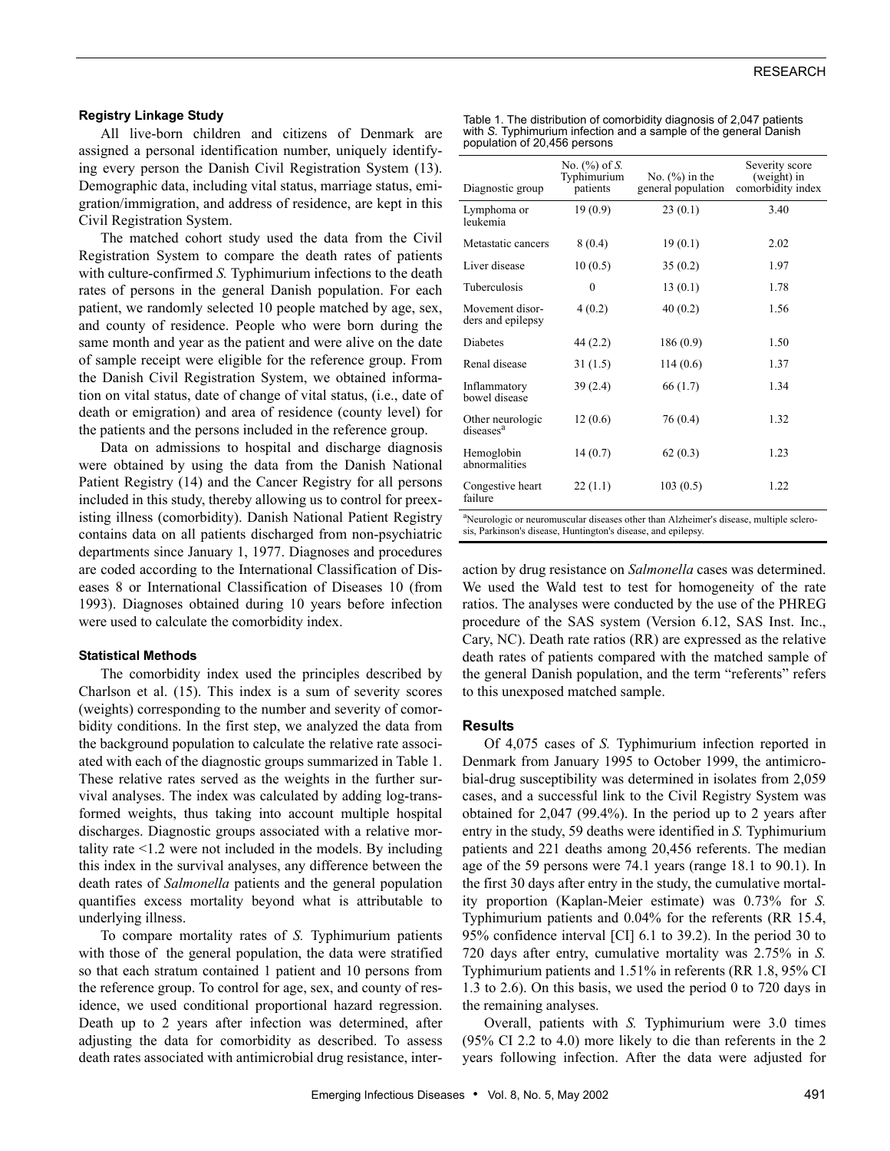## **Registry Linkage Study**

All live-born children and citizens of Denmark are assigned a personal identification number, uniquely identifying every person the Danish Civil Registration System (13). Demographic data, including vital status, marriage status, emigration/immigration, and address of residence, are kept in this Civil Registration System.

The matched cohort study used the data from the Civil Registration System to compare the death rates of patients with culture-confirmed *S.* Typhimurium infections to the death rates of persons in the general Danish population. For each patient, we randomly selected 10 people matched by age, sex, and county of residence. People who were born during the same month and year as the patient and were alive on the date of sample receipt were eligible for the reference group. From the Danish Civil Registration System, we obtained information on vital status, date of change of vital status, (i.e., date of death or emigration) and area of residence (county level) for the patients and the persons included in the reference group.

Data on admissions to hospital and discharge diagnosis were obtained by using the data from the Danish National Patient Registry (14) and the Cancer Registry for all persons included in this study, thereby allowing us to control for preexisting illness (comorbidity). Danish National Patient Registry contains data on all patients discharged from non-psychiatric departments since January 1, 1977. Diagnoses and procedures are coded according to the International Classification of Diseases 8 or International Classification of Diseases 10 (from 1993). Diagnoses obtained during 10 years before infection were used to calculate the comorbidity index.

#### **Statistical Methods**

The comorbidity index used the principles described by Charlson et al. (15). This index is a sum of severity scores (weights) corresponding to the number and severity of comorbidity conditions. In the first step, we analyzed the data from the background population to calculate the relative rate associated with each of the diagnostic groups summarized in Table 1. These relative rates served as the weights in the further survival analyses. The index was calculated by adding log-transformed weights, thus taking into account multiple hospital discharges. Diagnostic groups associated with a relative mortality rate <1.2 were not included in the models. By including this index in the survival analyses, any difference between the death rates of *Salmonella* patients and the general population quantifies excess mortality beyond what is attributable to underlying illness.

To compare mortality rates of *S.* Typhimurium patients with those of the general population, the data were stratified so that each stratum contained 1 patient and 10 persons from the reference group. To control for age, sex, and county of residence, we used conditional proportional hazard regression. Death up to 2 years after infection was determined, after adjusting the data for comorbidity as described. To assess death rates associated with antimicrobial drug resistance, inter-

| Table 1. The distribution of comorbidity diagnosis of 2,047 patients |
|----------------------------------------------------------------------|
| with S. Typhimurium infection and a sample of the general Danish     |
| population of 20,456 persons                                         |

| Diagnostic group                          | No. $(\%)$ of <i>S</i> .<br>Typhimurium<br>patients | No. $(\% )$ in the<br>general population | Severity score<br>(weight) in<br>comorbidity index |
|-------------------------------------------|-----------------------------------------------------|------------------------------------------|----------------------------------------------------|
| Lymphoma or<br>leukemia                   | 19(0.9)                                             | 23(0.1)                                  | 3.40                                               |
| Metastatic cancers                        | 8(0.4)                                              | 19(0.1)                                  | 2.02                                               |
| Liver disease                             | 10(0.5)                                             | 35(0.2)                                  | 1.97                                               |
| Tuberculosis                              | $\overline{0}$                                      | 13(0.1)                                  | 1.78                                               |
| Movement disor-<br>ders and epilepsy      | 4(0.2)                                              | 40(0.2)                                  | 1.56                                               |
| Diabetes                                  | 44(2.2)                                             | 186 (0.9)                                | 1.50                                               |
| Renal disease                             | 31(1.5)                                             | 114(0.6)                                 | 1.37                                               |
| Inflammatory<br>bowel disease             | 39(2.4)                                             | 66 (1.7)                                 | 1.34                                               |
| Other neurologic<br>diseases <sup>a</sup> | 12(0.6)                                             | 76 (0.4)                                 | 1.32                                               |
| Hemoglobin<br>abnormalities               | 14(0.7)                                             | 62(0.3)                                  | 1.23                                               |
| Congestive heart<br>failure               | 22(1.1)                                             | 103(0.5)                                 | 1.22                                               |

<sup>a</sup>Neurologic or neuromuscular diseases other than Alzheimer's disease, multiple sclerosis, Parkinson's disease, Huntington's disease, and epilepsy.

action by drug resistance on *Salmonella* cases was determined. We used the Wald test to test for homogeneity of the rate ratios. The analyses were conducted by the use of the PHREG procedure of the SAS system (Version 6.12, SAS Inst. Inc., Cary, NC). Death rate ratios (RR) are expressed as the relative death rates of patients compared with the matched sample of the general Danish population, and the term "referents" refers to this unexposed matched sample.

#### **Results**

Of 4,075 cases of *S.* Typhimurium infection reported in Denmark from January 1995 to October 1999, the antimicrobial-drug susceptibility was determined in isolates from 2,059 cases, and a successful link to the Civil Registry System was obtained for 2,047 (99.4%). In the period up to 2 years after entry in the study, 59 deaths were identified in *S.* Typhimurium patients and 221 deaths among 20,456 referents. The median age of the 59 persons were 74.1 years (range 18.1 to 90.1). In the first 30 days after entry in the study, the cumulative mortality proportion (Kaplan-Meier estimate) was 0.73% for *S.* Typhimurium patients and 0.04% for the referents (RR 15.4, 95% confidence interval [CI] 6.1 to 39.2). In the period 30 to 720 days after entry, cumulative mortality was 2.75% in *S.* Typhimurium patients and 1.51% in referents (RR 1.8, 95% CI 1.3 to 2.6). On this basis, we used the period 0 to 720 days in the remaining analyses.

Overall, patients with *S.* Typhimurium were 3.0 times (95% CI 2.2 to 4.0) more likely to die than referents in the 2 years following infection. After the data were adjusted for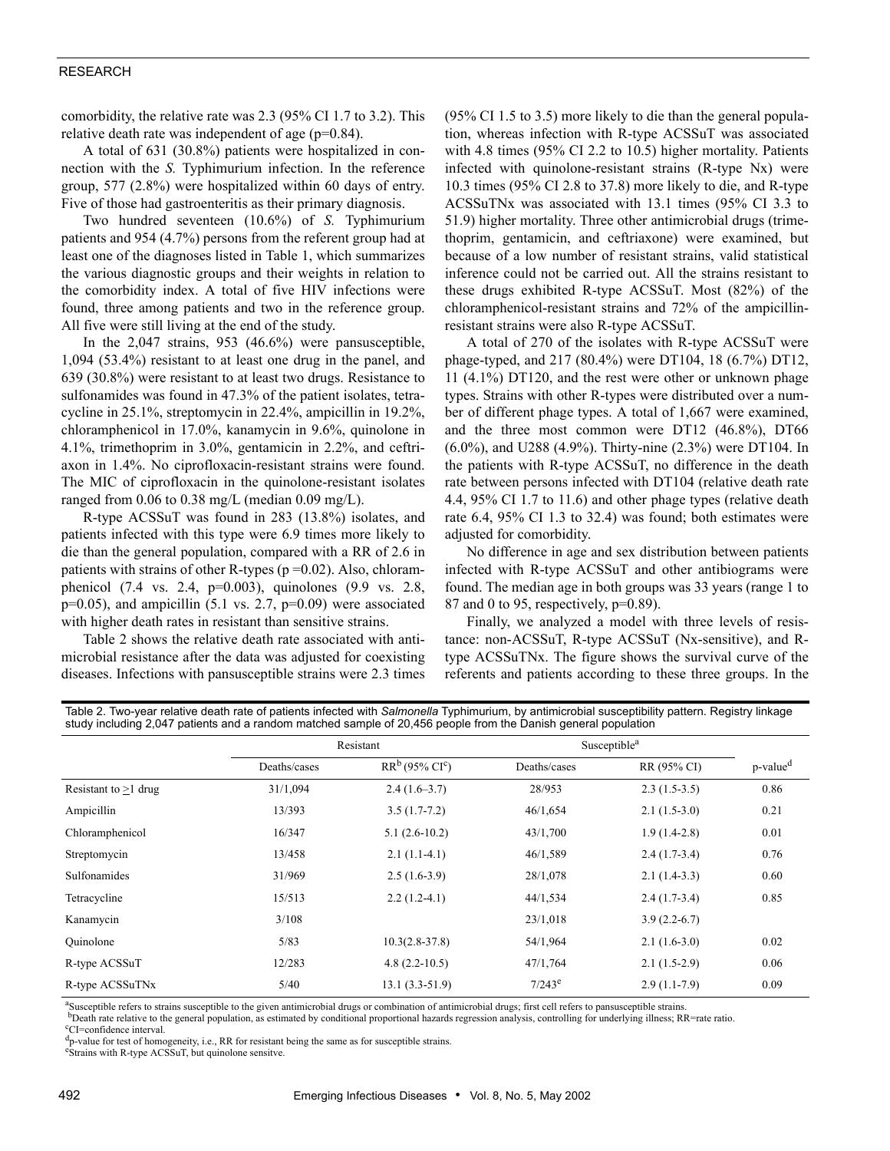## RESEARCH

comorbidity, the relative rate was 2.3 (95% CI 1.7 to 3.2). This relative death rate was independent of age (p=0.84).

A total of 631 (30.8%) patients were hospitalized in connection with the *S.* Typhimurium infection. In the reference group, 577 (2.8%) were hospitalized within 60 days of entry. Five of those had gastroenteritis as their primary diagnosis.

Two hundred seventeen (10.6%) of *S.* Typhimurium patients and 954 (4.7%) persons from the referent group had at least one of the diagnoses listed in Table 1, which summarizes the various diagnostic groups and their weights in relation to the comorbidity index. A total of five HIV infections were found, three among patients and two in the reference group. All five were still living at the end of the study.

In the 2,047 strains, 953 (46.6%) were pansusceptible, 1,094 (53.4%) resistant to at least one drug in the panel, and 639 (30.8%) were resistant to at least two drugs. Resistance to sulfonamides was found in 47.3% of the patient isolates, tetracycline in 25.1%, streptomycin in 22.4%, ampicillin in 19.2%, chloramphenicol in 17.0%, kanamycin in 9.6%, quinolone in 4.1%, trimethoprim in 3.0%, gentamicin in 2.2%, and ceftriaxon in 1.4%. No ciprofloxacin-resistant strains were found. The MIC of ciprofloxacin in the quinolone-resistant isolates ranged from  $0.06$  to  $0.38$  mg/L (median  $0.09$  mg/L).

R-type ACSSuT was found in 283 (13.8%) isolates, and patients infected with this type were 6.9 times more likely to die than the general population, compared with a RR of 2.6 in patients with strains of other R-types  $(p=0.02)$ . Also, chloramphenicol (7.4 vs. 2.4, p=0.003), quinolones (9.9 vs. 2.8,  $p=0.05$ ), and ampicillin (5.1 vs. 2.7,  $p=0.09$ ) were associated with higher death rates in resistant than sensitive strains.

Table 2 shows the relative death rate associated with antimicrobial resistance after the data was adjusted for coexisting diseases. Infections with pansusceptible strains were 2.3 times (95% CI 1.5 to 3.5) more likely to die than the general population, whereas infection with R-type ACSSuT was associated with 4.8 times (95% CI 2.2 to 10.5) higher mortality. Patients infected with quinolone-resistant strains (R-type Nx) were 10.3 times (95% CI 2.8 to 37.8) more likely to die, and R-type ACSSuTNx was associated with 13.1 times (95% CI 3.3 to 51.9) higher mortality. Three other antimicrobial drugs (trimethoprim, gentamicin, and ceftriaxone) were examined, but because of a low number of resistant strains, valid statistical inference could not be carried out. All the strains resistant to these drugs exhibited R-type ACSSuT. Most (82%) of the chloramphenicol-resistant strains and 72% of the ampicillinresistant strains were also R-type ACSSuT.

A total of 270 of the isolates with R-type ACSSuT were phage-typed, and 217 (80.4%) were DT104, 18 (6.7%) DT12, 11 (4.1%) DT120, and the rest were other or unknown phage types. Strains with other R-types were distributed over a number of different phage types. A total of 1,667 were examined, and the three most common were DT12 (46.8%), DT66 (6.0%), and U288 (4.9%). Thirty-nine (2.3%) were DT104. In the patients with R-type ACSSuT, no difference in the death rate between persons infected with DT104 (relative death rate 4.4, 95% CI 1.7 to 11.6) and other phage types (relative death rate 6.4, 95% CI 1.3 to 32.4) was found; both estimates were adjusted for comorbidity.

No difference in age and sex distribution between patients infected with R-type ACSSuT and other antibiograms were found. The median age in both groups was 33 years (range 1 to 87 and 0 to 95, respectively, p=0.89).

Finally, we analyzed a model with three levels of resistance: non-ACSSuT, R-type ACSSuT (Nx-sensitive), and Rtype ACSSuTNx. The figure shows the survival curve of the referents and patients according to these three groups. In the

| Table 2. Two-year relative death rate of patients infected with Salmonella Typhimurium, by antimicrobial susceptibility pattern. Registry linkage |  |
|---------------------------------------------------------------------------------------------------------------------------------------------------|--|
| study including 2,047 patients and a random matched sample of 20,456 people from the Danish general population                                    |  |

|                        | Resistant    |                      | Susceptible <sup>a</sup> |                |                      |  |
|------------------------|--------------|----------------------|--------------------------|----------------|----------------------|--|
|                        | Deaths/cases | $RR^b$ (95% $CI^c$ ) | Deaths/cases             | RR (95% CI)    | p-value <sup>d</sup> |  |
| Resistant to $>1$ drug | 31/1,094     | $2.4(1.6-3.7)$       | 28/953                   | $2.3(1.5-3.5)$ | 0.86                 |  |
| Ampicillin             | 13/393       | $3.5(1.7-7.2)$       | 46/1,654                 | $2.1(1.5-3.0)$ | 0.21                 |  |
| Chloramphenicol        | 16/347       | $5.1(2.6-10.2)$      | 43/1,700                 | $1.9(1.4-2.8)$ | 0.01                 |  |
| Streptomycin           | 13/458       | $2.1(1.1-4.1)$       | 46/1,589                 | $2.4(1.7-3.4)$ | 0.76                 |  |
| Sulfonamides           | 31/969       | $2.5(1.6-3.9)$       | 28/1,078                 | $2.1(1.4-3.3)$ | 0.60                 |  |
| Tetracycline           | 15/513       | $2.2(1.2-4.1)$       | 44/1,534                 | $2.4(1.7-3.4)$ | 0.85                 |  |
| Kanamycin              | 3/108        |                      | 23/1,018                 | $3.9(2.2-6.7)$ |                      |  |
| Ouinolone              | 5/83         | $10.3(2.8-37.8)$     | 54/1,964                 | $2.1(1.6-3.0)$ | 0.02                 |  |
| R-type ACSSuT          | 12/283       | $4.8(2.2 - 10.5)$    | 47/1,764                 | $2.1(1.5-2.9)$ | 0.06                 |  |
| R-type ACSSuTNx        | 5/40         | $13.1(3.3-51.9)$     | $7/243^e$                | $2.9(1.1-7.9)$ | 0.09                 |  |

<sup>a</sup>Susceptible refers to strains susceptible to the given antimicrobial drugs or combination of antimicrobial drugs; first cell refers to pansusceptible strains.<br><sup>b</sup>Death rate relative to the general population, as estima

<sup>b</sup>Death rate relative to the general population, as estimated by conditional proportional hazards regression analysis, controlling for underlying illness; RR=rate ratio.

CI=confidence interval.

 $d_{\text{p-value}}$  for test of homogeneity, i.e., RR for resistant being the same as for susceptible strains.

Strains with R-type ACSSuT, but quinolone sensitve.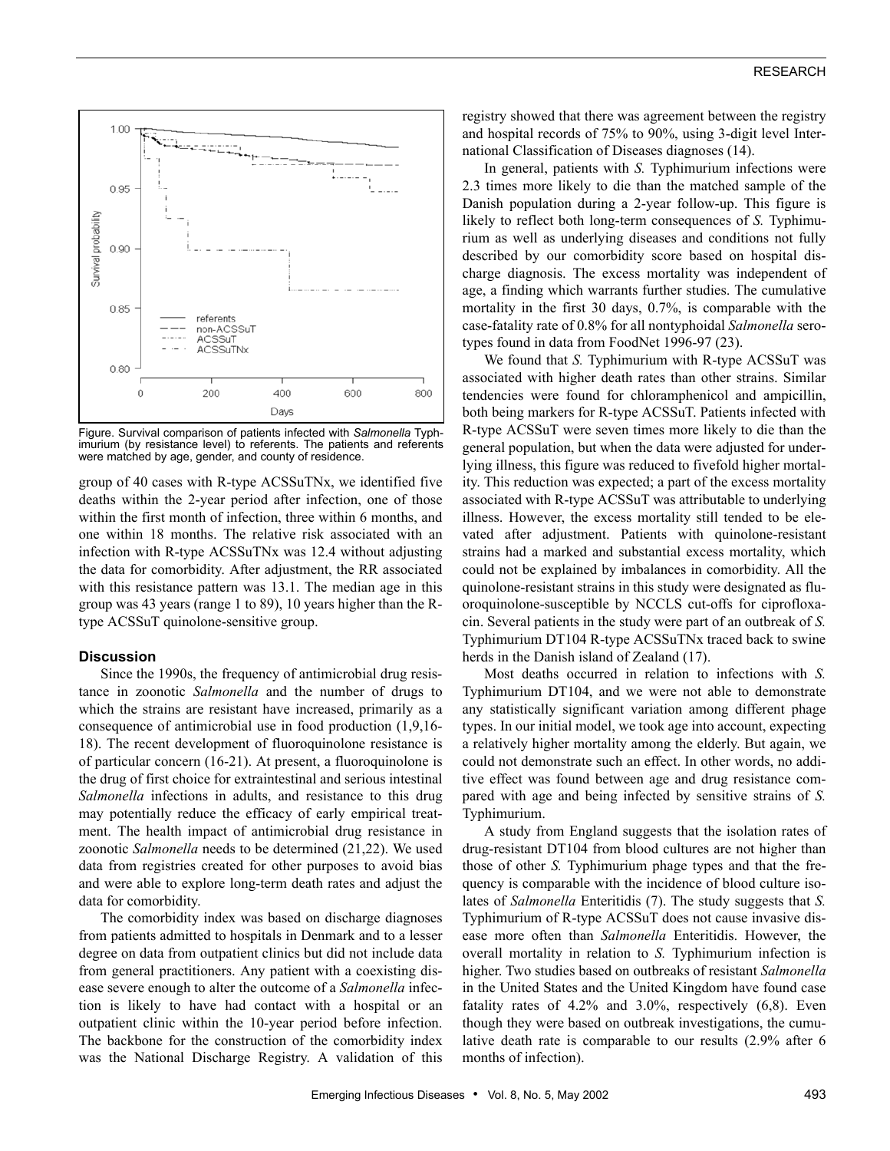

Figure. Survival comparison of patients infected with *Salmonella* Typhimurium (by resistance level) to referents. The patients and referents were matched by age, gender, and county of residence.

group of 40 cases with R-type ACSSuTNx, we identified five deaths within the 2-year period after infection, one of those within the first month of infection, three within 6 months, and one within 18 months. The relative risk associated with an infection with R-type ACSSuTNx was 12.4 without adjusting the data for comorbidity. After adjustment, the RR associated with this resistance pattern was 13.1. The median age in this group was 43 years (range 1 to 89), 10 years higher than the Rtype ACSSuT quinolone-sensitive group.

## **Discussion**

Since the 1990s, the frequency of antimicrobial drug resistance in zoonotic *Salmonella* and the number of drugs to which the strains are resistant have increased, primarily as a consequence of antimicrobial use in food production (1,9,16- 18). The recent development of fluoroquinolone resistance is of particular concern (16-21). At present, a fluoroquinolone is the drug of first choice for extraintestinal and serious intestinal *Salmonella* infections in adults, and resistance to this drug may potentially reduce the efficacy of early empirical treatment. The health impact of antimicrobial drug resistance in zoonotic *Salmonella* needs to be determined (21,22). We used data from registries created for other purposes to avoid bias and were able to explore long-term death rates and adjust the data for comorbidity.

The comorbidity index was based on discharge diagnoses from patients admitted to hospitals in Denmark and to a lesser degree on data from outpatient clinics but did not include data from general practitioners. Any patient with a coexisting disease severe enough to alter the outcome of a *Salmonella* infection is likely to have had contact with a hospital or an outpatient clinic within the 10-year period before infection. The backbone for the construction of the comorbidity index was the National Discharge Registry. A validation of this registry showed that there was agreement between the registry and hospital records of 75% to 90%, using 3-digit level International Classification of Diseases diagnoses (14).

In general, patients with *S.* Typhimurium infections were 2.3 times more likely to die than the matched sample of the Danish population during a 2-year follow-up. This figure is likely to reflect both long-term consequences of *S.* Typhimurium as well as underlying diseases and conditions not fully described by our comorbidity score based on hospital discharge diagnosis. The excess mortality was independent of age, a finding which warrants further studies. The cumulative mortality in the first 30 days, 0.7%, is comparable with the case-fatality rate of 0.8% for all nontyphoidal *Salmonella* serotypes found in data from FoodNet 1996-97 (23).

We found that *S.* Typhimurium with R-type ACSSuT was associated with higher death rates than other strains. Similar tendencies were found for chloramphenicol and ampicillin, both being markers for R-type ACSSuT. Patients infected with R-type ACSSuT were seven times more likely to die than the general population, but when the data were adjusted for underlying illness, this figure was reduced to fivefold higher mortality. This reduction was expected; a part of the excess mortality associated with R-type ACSSuT was attributable to underlying illness. However, the excess mortality still tended to be elevated after adjustment. Patients with quinolone-resistant strains had a marked and substantial excess mortality, which could not be explained by imbalances in comorbidity. All the quinolone-resistant strains in this study were designated as fluoroquinolone-susceptible by NCCLS cut-offs for ciprofloxacin. Several patients in the study were part of an outbreak of *S.* Typhimurium DT104 R-type ACSSuTNx traced back to swine herds in the Danish island of Zealand (17).

Most deaths occurred in relation to infections with *S.* Typhimurium DT104, and we were not able to demonstrate any statistically significant variation among different phage types. In our initial model, we took age into account, expecting a relatively higher mortality among the elderly. But again, we could not demonstrate such an effect. In other words, no additive effect was found between age and drug resistance compared with age and being infected by sensitive strains of *S.* Typhimurium.

A study from England suggests that the isolation rates of drug-resistant DT104 from blood cultures are not higher than those of other *S.* Typhimurium phage types and that the frequency is comparable with the incidence of blood culture isolates of *Salmonella* Enteritidis (7). The study suggests that *S.* Typhimurium of R-type ACSSuT does not cause invasive disease more often than *Salmonella* Enteritidis. However, the overall mortality in relation to *S.* Typhimurium infection is higher. Two studies based on outbreaks of resistant *Salmonella* in the United States and the United Kingdom have found case fatality rates of 4.2% and 3.0%, respectively (6,8). Even though they were based on outbreak investigations, the cumulative death rate is comparable to our results (2.9% after 6 months of infection).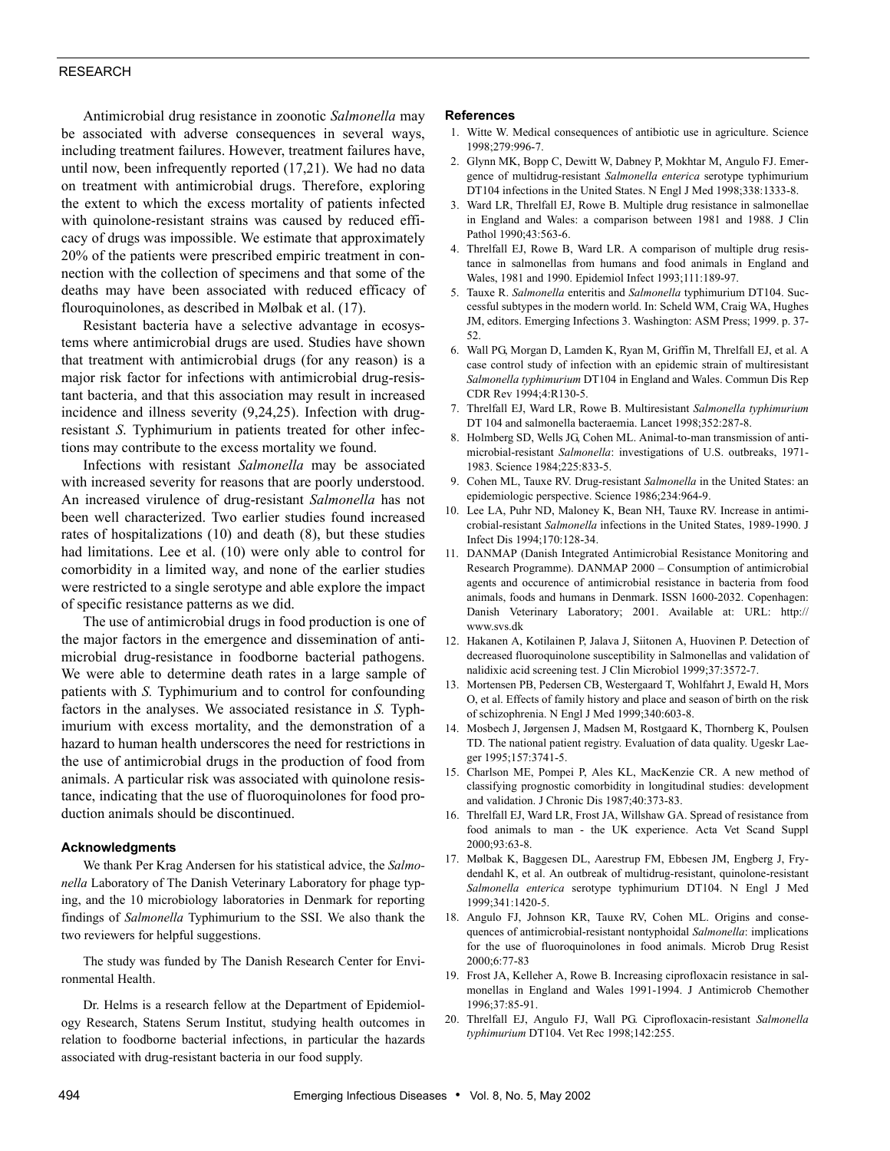## RESEARCH

Antimicrobial drug resistance in zoonotic *Salmonella* may be associated with adverse consequences in several ways, including treatment failures. However, treatment failures have, until now, been infrequently reported (17,21). We had no data on treatment with antimicrobial drugs. Therefore, exploring the extent to which the excess mortality of patients infected with quinolone-resistant strains was caused by reduced efficacy of drugs was impossible. We estimate that approximately 20% of the patients were prescribed empiric treatment in connection with the collection of specimens and that some of the deaths may have been associated with reduced efficacy of flouroquinolones, as described in Mølbak et al. (17).

Resistant bacteria have a selective advantage in ecosystems where antimicrobial drugs are used. Studies have shown that treatment with antimicrobial drugs (for any reason) is a major risk factor for infections with antimicrobial drug-resistant bacteria, and that this association may result in increased incidence and illness severity (9,24,25). Infection with drugresistant *S*. Typhimurium in patients treated for other infections may contribute to the excess mortality we found.

Infections with resistant *Salmonella* may be associated with increased severity for reasons that are poorly understood. An increased virulence of drug-resistant *Salmonella* has not been well characterized. Two earlier studies found increased rates of hospitalizations (10) and death (8), but these studies had limitations. Lee et al. (10) were only able to control for comorbidity in a limited way, and none of the earlier studies were restricted to a single serotype and able explore the impact of specific resistance patterns as we did.

The use of antimicrobial drugs in food production is one of the major factors in the emergence and dissemination of antimicrobial drug-resistance in foodborne bacterial pathogens. We were able to determine death rates in a large sample of patients with *S.* Typhimurium and to control for confounding factors in the analyses. We associated resistance in *S.* Typhimurium with excess mortality, and the demonstration of a hazard to human health underscores the need for restrictions in the use of antimicrobial drugs in the production of food from animals. A particular risk was associated with quinolone resistance, indicating that the use of fluoroquinolones for food production animals should be discontinued.

#### **Acknowledgments**

We thank Per Krag Andersen for his statistical advice, the *Salmonella* Laboratory of The Danish Veterinary Laboratory for phage typing, and the 10 microbiology laboratories in Denmark for reporting findings of *Salmonella* Typhimurium to the SSI. We also thank the two reviewers for helpful suggestions.

The study was funded by The Danish Research Center for Environmental Health.

Dr. Helms is a research fellow at the Department of Epidemiology Research, Statens Serum Institut, studying health outcomes in relation to foodborne bacterial infections, in particular the hazards associated with drug-resistant bacteria in our food supply.

#### **References**

- 1. Witte W. Medical consequences of antibiotic use in agriculture. Science 1998;279:996-7.
- 2. Glynn MK, Bopp C, Dewitt W, Dabney P, Mokhtar M, Angulo FJ. Emergence of multidrug-resistant *Salmonella enterica* serotype typhimurium DT104 infections in the United States. N Engl J Med 1998;338:1333-8.
- 3. Ward LR, Threlfall EJ, Rowe B. Multiple drug resistance in salmonellae in England and Wales: a comparison between 1981 and 1988. J Clin Pathol 1990;43:563-6.
- 4. Threlfall EJ, Rowe B, Ward LR. A comparison of multiple drug resistance in salmonellas from humans and food animals in England and Wales, 1981 and 1990. Epidemiol Infect 1993;111:189-97.
- 5. Tauxe R. *Salmonella* enteritis and *Salmonella* typhimurium DT104. Successful subtypes in the modern world. In: Scheld WM, Craig WA, Hughes JM, editors. Emerging Infections 3. Washington: ASM Press; 1999. p. 37- 52.
- 6. Wall PG, Morgan D, Lamden K, Ryan M, Griffin M, Threlfall EJ, et al. A case control study of infection with an epidemic strain of multiresistant *Salmonella typhimurium* DT104 in England and Wales. Commun Dis Rep CDR Rev 1994;4:R130-5.
- 7. Threlfall EJ, Ward LR, Rowe B. Multiresistant *Salmonella typhimurium* DT 104 and salmonella bacteraemia. Lancet 1998;352:287-8.
- 8. Holmberg SD, Wells JG, Cohen ML. Animal-to-man transmission of antimicrobial-resistant *Salmonella*: investigations of U.S. outbreaks, 1971- 1983. Science 1984;225:833-5.
- 9. Cohen ML, Tauxe RV. Drug-resistant *Salmonella* in the United States: an epidemiologic perspective. Science 1986;234:964-9.
- 10. Lee LA, Puhr ND, Maloney K, Bean NH, Tauxe RV. Increase in antimicrobial-resistant *Salmonella* infections in the United States, 1989-1990. J Infect Dis 1994;170:128-34.
- 11. DANMAP (Danish Integrated Antimicrobial Resistance Monitoring and Research Programme). DANMAP 2000 – Consumption of antimicrobial agents and occurence of antimicrobial resistance in bacteria from food animals, foods and humans in Denmark. ISSN 1600-2032. Copenhagen: Danish Veterinary Laboratory; 2001. Available at: URL: http:// www.svs.dk
- 12. Hakanen A, Kotilainen P, Jalava J, Siitonen A, Huovinen P. Detection of decreased fluoroquinolone susceptibility in Salmonellas and validation of nalidixic acid screening test. J Clin Microbiol 1999;37:3572-7.
- 13. Mortensen PB, Pedersen CB, Westergaard T, Wohlfahrt J, Ewald H, Mors O, et al. Effects of family history and place and season of birth on the risk of schizophrenia. N Engl J Med 1999;340:603-8.
- 14. Mosbech J, Jørgensen J, Madsen M, Rostgaard K, Thornberg K, Poulsen TD. The national patient registry. Evaluation of data quality. Ugeskr Laeger 1995;157:3741-5.
- 15. Charlson ME, Pompei P, Ales KL, MacKenzie CR. A new method of classifying prognostic comorbidity in longitudinal studies: development and validation. J Chronic Dis 1987;40:373-83.
- 16. Threlfall EJ, Ward LR, Frost JA, Willshaw GA. Spread of resistance from food animals to man - the UK experience. Acta Vet Scand Suppl 2000;93:63-8.
- 17. Mølbak K, Baggesen DL, Aarestrup FM, Ebbesen JM, Engberg J, Frydendahl K, et al. An outbreak of multidrug-resistant, quinolone-resistant *Salmonella enterica* serotype typhimurium DT104. N Engl J Med 1999;341:1420-5.
- 18. Angulo FJ, Johnson KR, Tauxe RV, Cohen ML. Origins and consequences of antimicrobial-resistant nontyphoidal *Salmonella*: implications for the use of fluoroquinolones in food animals. Microb Drug Resist 2000;6:77-83
- 19. Frost JA, Kelleher A, Rowe B. Increasing ciprofloxacin resistance in salmonellas in England and Wales 1991-1994. J Antimicrob Chemother 1996;37:85-91.
- 20. Threlfall EJ, Angulo FJ, Wall PG. Ciprofloxacin-resistant *Salmonella typhimurium* DT104. Vet Rec 1998;142:255.